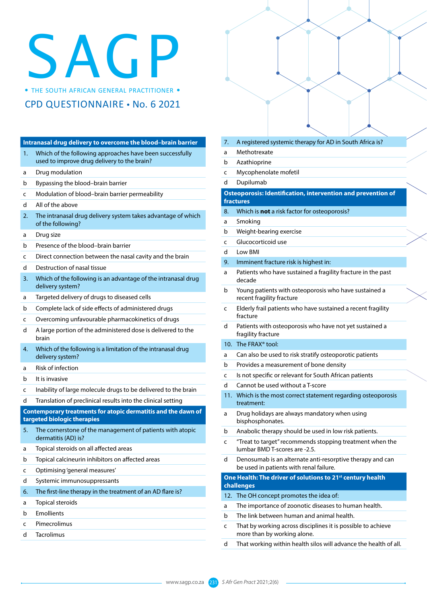## SAGRE BOUTH AFRICAN GENERAL PRACTITIONER •

CPD QUESTIONNAIRE • No. 6 2021

|                  | Intranasal drug delivery to overcome the blood-brain barrier                                            |
|------------------|---------------------------------------------------------------------------------------------------------|
| 1.               | Which of the following approaches have been successfully<br>used to improve drug delivery to the brain? |
| а                | Drug modulation                                                                                         |
| b                | Bypassing the blood-brain barrier                                                                       |
| C                | Modulation of blood-brain barrier permeability                                                          |
| d                | All of the above                                                                                        |
| $\overline{2}$ . | The intranasal drug delivery system takes advantage of which<br>of the following?                       |
| а                | Drug size                                                                                               |
| b                | Presence of the blood-brain barrier                                                                     |
| C                | Direct connection between the nasal cavity and the brain                                                |
| d                | Destruction of nasal tissue                                                                             |
| 3.               | Which of the following is an advantage of the intranasal drug<br>delivery system?                       |
| а                | Targeted delivery of drugs to diseased cells                                                            |
| b                | Complete lack of side effects of administered drugs                                                     |
| C                | Overcoming unfavourable pharmacokinetics of drugs                                                       |
| d                | A large portion of the administered dose is delivered to the<br>brain                                   |
| 4.               | Which of the following is a limitation of the intranasal drug<br>delivery system?                       |
| a                | <b>Risk of infection</b>                                                                                |
| b                | It is invasive                                                                                          |
| c                | Inability of large molecule drugs to be delivered to the brain                                          |
| d                | Translation of preclinical results into the clinical setting                                            |
|                  | Contemporary treatments for atopic dermatitis and the dawn of<br>targeted biologic therapies            |
| 5.               | The cornerstone of the management of patients with atopic<br>dermatitis (AD) is?                        |
| a                | Topical steroids on all affected areas                                                                  |
| b                | Topical calcineurin inhibitors on affected areas                                                        |
| c                | Optimising 'general measures'                                                                           |
| d                | Systemic immunosuppressants                                                                             |
| 6.               | The first-line therapy in the treatment of an AD flare is?                                              |
| а                | Topical steroids                                                                                        |
| b                | <b>Emollients</b>                                                                                       |
| c                | Pimecrolimus                                                                                            |
| d.               | Tacrolimus                                                                                              |

- 7. A registered systemic therapy for AD in South Africa is?
- a Methotrexate
- b Azathioprine
- c Mycophenolate mofetil
- d Dupilumab

## **Osteoporosis: Identification, intervention and prevention of fractures**

- 8. Which is **not** a risk factor for osteoporosis?
- a Smoking
- b Weight-bearing exercise
- c Glucocorticoid use
- d Low BMI
- 9. Imminent fracture risk is highest in:
- a Patients who have sustained a fragility fracture in the past decade
- b Young patients with osteoporosis who have sustained a recent fragility fracture
- c Elderly frail patients who have sustained a recent fragility fracture
- d Patients with osteoporosis who have not yet sustained a fragility fracture
- 10. The FRAX® tool:
- a Can also be used to risk stratify osteoporotic patients
- b Provides a measurement of bone density
- c Is not specific or relevant for South African patients
- d Cannot be used without a T-score
- 11. Which is the most correct statement regarding osteoporosis treatment:
- a Drug holidays are always mandatory when using bisphosphonates.
- b Anabolic therapy should be used in low risk patients.
- c "Treat to target" recommends stopping treatment when the lumbar BMD T-scores are -2.5.
- d Denosumab is an alternate anti-resorptive therapy and can be used in patients with renal failure.

**One Health: The driver of solutions to 21st century health challenges**

- 12. The OH concept promotes the idea of:
- a The importance of zoonotic diseases to human health.
- b The link between human and animal health.
- c That by working across disciplines it is possible to achieve more than by working alone.
- d That working within health silos will advance the health of all.